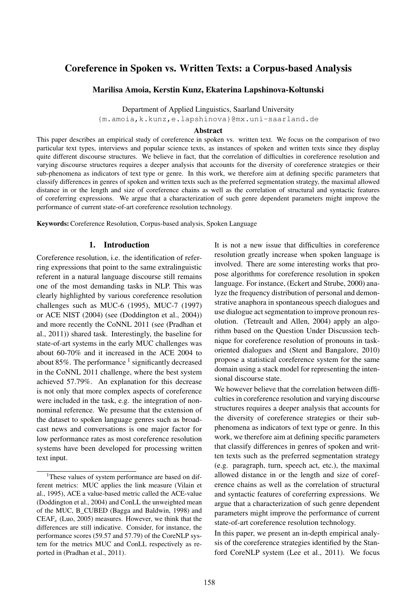# Coreference in Spoken vs. Written Texts: a Corpus-based Analysis

#### Marilisa Amoia, Kerstin Kunz, Ekaterina Lapshinova-Koltunski

Department of Applied Linguistics, Saarland University

{m.amoia,k.kunz,e.lapshinova}@mx.uni-saarland.de

#### Abstract

This paper describes an empirical study of coreference in spoken vs. written text. We focus on the comparison of two particular text types, interviews and popular science texts, as instances of spoken and written texts since they display quite different discourse structures. We believe in fact, that the correlation of difficulties in coreference resolution and varying discourse structures requires a deeper analysis that accounts for the diversity of coreference strategies or their sub-phenomena as indicators of text type or genre. In this work, we therefore aim at defining specific parameters that classify differences in genres of spoken and written texts such as the preferred segmentation strategy, the maximal allowed distance in or the length and size of coreference chains as well as the correlation of structural and syntactic features of coreferring expressions. We argue that a characterization of such genre dependent parameters might improve the performance of current state-of-art coreference resolution technology.

Keywords:Coreference Resolution, Corpus-based analysis, Spoken Language

### 1. Introduction

Coreference resolution, i.e. the identification of referring expressions that point to the same extralinguistic referent in a natural language discourse still remains one of the most demanding tasks in NLP. This was clearly highlighted by various coreference resolution challenges such as MUC-6 (1995), MUC-7 (1997) or ACE NIST (2004) (see (Doddington et al., 2004)) and more recently the CoNNL 2011 (see (Pradhan et al., 2011)) shared task. Interestingly, the baseline for state-of-art systems in the early MUC challenges was about 60-70% and it increased in the ACE 2004 to about 85%. The performance  $\frac{1}{1}$  significantly decreased in the CoNNL 2011 challenge, where the best system achieved 57.79%. An explanation for this decrease is not only that more complex aspects of coreference were included in the task, e.g. the integration of nonnominal reference. We presume that the extension of the dataset to spoken language genres such as broadcast news and conversations is one major factor for low performance rates as most coreference resolution systems have been developed for processing written text input.

It is not a new issue that difficulties in coreference resolution greatly increase when spoken language is involved. There are some interesting works that propose algorithms for coreference resolution in spoken language. For instance, (Eckert and Strube, 2000) analyze the frequency distribution of personal and demonstrative anaphora in spontaneous speech dialogues and use dialogue act segmentation to improve pronoun resolution. (Tetreault and Allen, 2004) apply an algorithm based on the Question Under Discussion technique for coreference resolution of pronouns in taskoriented dialogues and (Stent and Bangalore, 2010) propose a statistical coreference system for the same domain using a stack model for representing the intensional discourse state.

We however believe that the correlation between difficulties in coreference resolution and varying discourse structures requires a deeper analysis that accounts for the diversity of coreference strategies or their subphenomena as indicators of text type or genre. In this work, we therefore aim at defining specific parameters that classify differences in genres of spoken and written texts such as the preferred segmentation strategy (e.g. paragraph, turn, speech act, etc.), the maximal allowed distance in or the length and size of coreference chains as well as the correlation of structural and syntactic features of coreferring expressions. We argue that a characterization of such genre dependent parameters might improve the performance of current state-of-art coreference resolution technology.

In this paper, we present an in-depth empirical analysis of the coreference strategies identified by the Stanford CoreNLP system (Lee et al., 2011). We focus

<sup>&</sup>lt;sup>1</sup>These values of system performance are based on different metrics: MUC applies the link measure (Vilain et al., 1995), ACE a value-based metric called the ACE-value (Doddington et al., 2004) and ConLL the unweighted mean of the MUC, B\_CUBED (Bagga and Baldwin, 1998) and  $CEAF_e$  (Luo, 2005) measures. However, we think that the differences are still indicative. Consider, for instance, the performance scores (59.57 and 57.79) of the CoreNLP system for the metrics MUC and ConLL respectively as reported in (Pradhan et al., 2011).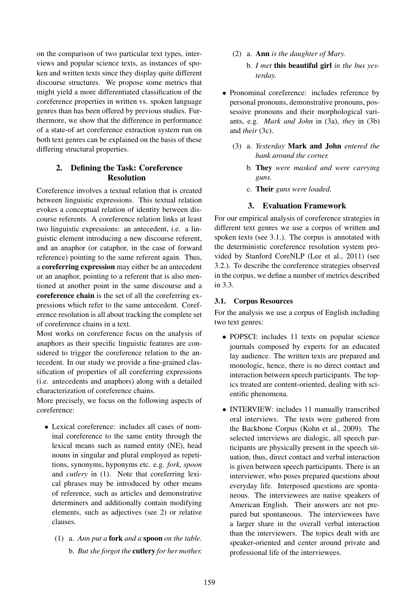on the comparison of two particular text types, interviews and popular science texts, as instances of spoken and written texts since they display quite different discourse structures. We propose some metrics that might yield a more differentiated classification of the coreference properties in written vs. spoken language genres than has been offered by previous studies. Furthermore, we show that the difference in performance of a state-of art coreference extraction system run on both text genres can be explained on the basis of these differing structural properties.

### 2. Defining the Task: Coreference Resolution

Coreference involves a textual relation that is created between linguistic expressions. This textual relation evokes a conceptual relation of identity between discourse referents. A coreference relation links at least two linguistic expressions: an antecedent, i.e. a linguistic element introducing a new discourse referent, and an anaphor (or cataphor, in the case of forward reference) pointing to the same referent again. Thus, a coreferring expression may either be an antecedent or an anaphor, pointing to a referent that is also mentioned at another point in the same discourse and a coreference chain is the set of all the coreferring expressions which refer to the same antecedent. Coreference resolution is all about tracking the complete set of coreference chains in a text.

Most works on coreference focus on the analysis of anaphors as their specific linguistic features are considered to trigger the coreference relation to the antecedent. In our study we provide a fine-grained classification of properties of all coreferring expressions (i.e. antecedents and anaphors) along with a detailed characterization of coreference chains.

More precisely, we focus on the following aspects of coreference:

- Lexical coreference: includes all cases of nominal coreference to the same entity through the lexical means such as named entity (NE), head nouns in singular and plural employed as repetitions, synonyms, hyponyms etc. e.g. *fork, spoon* and *cutlery* in (1). Note that coreferring lexical phrases may be introduced by other means of reference, such as articles and demonstrative determiners and additionally contain modifying elements, such as adjectives (see 2) or relative clauses.
	- (1) a. *Ann put a* fork *and a* spoon *on the table.* b. *But she forgot the* cutlery *for her mother.*
- (2) a. Ann *is the daughter of Mary.*
	- b. *I met* this beautiful girl *in the bus yesterday.*
- Pronominal coreference: includes reference by personal pronouns, demonstrative pronouns, possessive pronouns and their morphological variants, e.g. *Mark and John* in (3a), *they* in (3b) and *their* (3c).
	- (3) a. *Yesterday* Mark and John *entered the bank around the corner.*
		- b. They *were masked and were carrying guns.*
		- c. Their *guns were loaded.*

## 3. Evaluation Framework

For our empirical analysis of coreference strategies in different text genres we use a corpus of written and spoken texts (see 3.1.). The corpus is annotated with the deterministic coreference resolution system provided by Stanford CoreNLP (Lee et al., 2011) (see 3.2.). To describe the coreference strategies observed in the corpus, we define a number of metrics described in 3.3.

### 3.1. Corpus Resources

For the analysis we use a corpus of English including two text genres:

- POPSCI: includes 11 texts on popular science journals composed by experts for an educated lay audience. The written texts are prepared and monologic, hence, there is no direct contact and interaction between speech participants. The topics treated are content-oriented, dealing with scientific phenomena.
- INTERVIEW: includes 11 manually transcribed oral interviews. The texts were gathered from the Backbone Corpus (Kohn et al., 2009). The selected interviews are dialogic, all speech participants are physically present in the speech situation, thus, direct contact and verbal interaction is given between speech participants. There is an interviewer, who poses prepared questions about everyday life. Interposed questions are spontaneous. The interviewees are native speakers of American English. Their answers are not prepared but spontaneous. The interviewees have a larger share in the overall verbal interaction than the interviewers. The topics dealt with are speaker-oriented and center around private and professional life of the interviewees.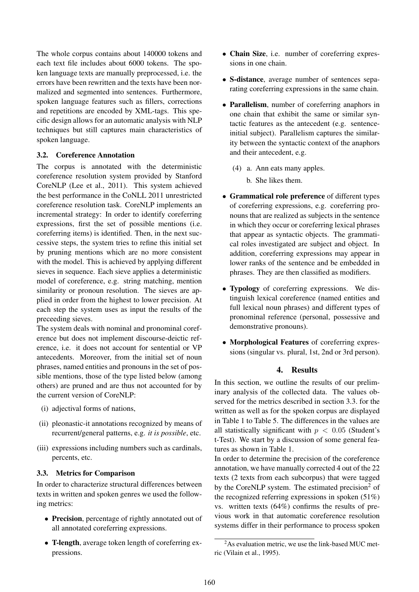The whole corpus contains about 140000 tokens and each text file includes about 6000 tokens. The spoken language texts are manually preprocessed, i.e. the errors have been rewritten and the texts have been normalized and segmented into sentences. Furthermore, spoken language features such as fillers, corrections and repetitions are encoded by XML-tags. This specific design allows for an automatic analysis with NLP techniques but still captures main characteristics of spoken language.

### 3.2. Coreference Annotation

The corpus is annotated with the deterministic coreference resolution system provided by Stanford CoreNLP (Lee et al., 2011). This system achieved the best performance in the CoNLL 2011 unrestricted coreference resolution task. CoreNLP implements an incremental strategy: In order to identify coreferring expressions, first the set of possible mentions (i.e. coreferring items) is identified. Then, in the next successive steps, the system tries to refine this initial set by pruning mentions which are no more consistent with the model. This is achieved by applying different sieves in sequence. Each sieve applies a deterministic model of coreference, e.g. string matching, mention similarity or pronoun resolution. The sieves are applied in order from the highest to lower precision. At each step the system uses as input the results of the preceeding sieves.

The system deals with nominal and pronominal coreference but does not implement discourse-deictic reference, i.e. it does not account for sentential or VP antecedents. Moreover, from the initial set of noun phrases, named entities and pronouns in the set of possible mentions, those of the type listed below (among others) are pruned and are thus not accounted for by the current version of CoreNLP:

- (i) adjectival forms of nations,
- (ii) pleonastic-it annotations recognized by means of recurrent/general patterns, e.g. *it is possible*, etc.
- (iii) expressions including numbers such as cardinals, percents, etc.

### 3.3. Metrics for Comparison

In order to characterize structural differences between texts in written and spoken genres we used the following metrics:

- Precision, percentage of rightly annotated out of all annotated coreferring expressions.
- T-length, average token length of coreferring expressions.
- Chain Size, i.e. number of coreferring expressions in one chain.
- S-distance, average number of sentences separating coreferring expressions in the same chain.
- Parallelism, number of coreferring anaphors in one chain that exhibit the same or similar syntactic features as the antecedent (e.g. sentenceinitial subject). Parallelism captures the similarity between the syntactic context of the anaphors and their antecedent, e.g.
	- (4) a. Ann eats many apples.
		- b. She likes them.
- Grammatical role preference of different types of coreferring expressions, e.g. coreferring pronouns that are realized as subjects in the sentence in which they occur or coreferring lexical phrases that appear as syntactic objects. The grammatical roles investigated are subject and object. In addition, coreferring expressions may appear in lower ranks of the sentence and be embedded in phrases. They are then classified as modifiers.
- Typology of coreferring expressions. We distinguish lexical coreference (named entities and full lexical noun phrases) and different types of pronominal reference (personal, possessive and demonstrative pronouns).
- Morphological Features of coreferring expressions (singular vs. plural, 1st, 2nd or 3rd person).

### 4. Results

In this section, we outline the results of our preliminary analysis of the collected data. The values observed for the metrics described in section 3.3. for the written as well as for the spoken corpus are displayed in Table 1 to Table 5. The differences in the values are all statistically significant with  $p < 0.05$  (Student's t-Test). We start by a discussion of some general features as shown in Table 1.

In order to determine the precision of the coreference annotation, we have manually corrected 4 out of the 22 texts (2 texts from each subcorpus) that were tagged by the CoreNLP system. The estimated precision<sup>2</sup> of the recognized referring expressions in spoken  $(51\%)$ vs. written texts (64%) confirms the results of previous work in that automatic coreference resolution systems differ in their performance to process spoken

<sup>&</sup>lt;sup>2</sup>As evaluation metric, we use the link-based MUC metric (Vilain et al., 1995).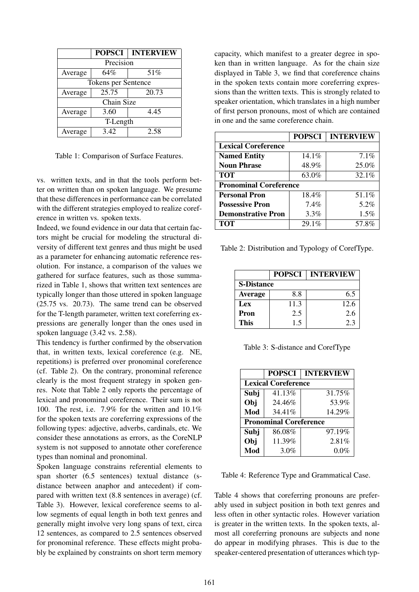|                     | <b>POPSCI</b> | <b>INTERVIEW</b> |  |  |
|---------------------|---------------|------------------|--|--|
| Precision           |               |                  |  |  |
| Average             | 64%           | 51%              |  |  |
| Tokens per Sentence |               |                  |  |  |
| Average             | 25.75         | 20.73            |  |  |
| Chain Size          |               |                  |  |  |
| Average             | 3.60          | 4.45             |  |  |
| T-Length            |               |                  |  |  |
| Average             | 3.42          | 2.58             |  |  |

Table 1: Comparison of Surface Features.

vs. written texts, and in that the tools perform better on written than on spoken language. We presume that these differences in performance can be correlated with the different strategies employed to realize coreference in written vs. spoken texts.

Indeed, we found evidence in our data that certain factors might be crucial for modeling the structural diversity of different text genres and thus might be used as a parameter for enhancing automatic reference resolution. For instance, a comparison of the values we gathered for surface features, such as those summarized in Table 1, shows that written text sentences are typically longer than those uttered in spoken language (25.75 vs. 20.73). The same trend can be observed for the T-length parameter, written text coreferring expressions are generally longer than the ones used in spoken language (3.42 vs. 2.58).

This tendency is further confirmed by the observation that, in written texts, lexical coreference (e.g. NE, repetitions) is preferred over pronominal coreference (cf. Table 2). On the contrary, pronominal reference clearly is the most frequent strategy in spoken genres. Note that Table 2 only reports the percentage of lexical and pronominal coreference. Their sum is not 100. The rest, i.e. 7.9% for the written and 10.1% for the spoken texts are coreferring expressions of the following types: adjective, adverbs, cardinals, etc. We consider these annotations as errors, as the CoreNLP system is not supposed to annotate other coreference types than nominal and pronominal.

Spoken language constrains referential elements to span shorter (6.5 sentences) textual distance (sdistance between anaphor and antecedent) if compared with written text (8.8 sentences in average) (cf. Table 3). However, lexical coreference seems to allow segments of equal length in both text genres and generally might involve very long spans of text, circa 12 sentences, as compared to 2.5 sentences observed for pronominal reference. These effects might probably be explained by constraints on short term memory capacity, which manifest to a greater degree in spoken than in written language. As for the chain size displayed in Table 3, we find that coreference chains in the spoken texts contain more coreferring expressions than the written texts. This is strongly related to speaker orientation, which translates in a high number of first person pronouns, most of which are contained in one and the same coreference chain.

|                               | <b>POPSCI</b> | <b>INTERVIEW</b> |  |  |
|-------------------------------|---------------|------------------|--|--|
| <b>Lexical Coreference</b>    |               |                  |  |  |
| <b>Named Entity</b>           | 14.1%         | 7.1%             |  |  |
| <b>Noun Phrase</b>            | 48.9%         | 25.0%            |  |  |
| <b>TOT</b>                    | 63.0%         | 32.1%            |  |  |
| <b>Pronominal Coreference</b> |               |                  |  |  |
| <b>Personal Pron</b>          | 18.4%         | 51.1%            |  |  |
| <b>Possessive Pron</b>        | 7.4%          | 5.2%             |  |  |
| <b>Demonstrative Pron</b>     | $3.3\%$       | $1.5\%$          |  |  |
| <b>TOT</b>                    | 29.1%         | 57.8%            |  |  |

Table 2: Distribution and Typology of CorefType.

|                   | <b>POPSCI</b> | <b>INTERVIEW</b> |
|-------------------|---------------|------------------|
| <b>S-Distance</b> |               |                  |
| <b>Average</b>    | 8.8           | 6.5              |
| Lex               | 11.3          | 12.6             |
| Pron              | 2.5           | 2.6              |
| This              | 15            | 2.3              |

Table 3: S-distance and CorefType

|                               | <b>POPSCI</b> | <b>INTERVIEW</b> |  |  |
|-------------------------------|---------------|------------------|--|--|
| <b>Lexical Coreference</b>    |               |                  |  |  |
| Subj                          | 41.13%        | 31.75%           |  |  |
| Obj                           | 24.46%        | 53.9%            |  |  |
| Mod                           | 34.41%        | 14.29%           |  |  |
| <b>Pronominal Coreference</b> |               |                  |  |  |
| Subj                          | 86.08%        | 97.19%           |  |  |
| Obj                           | 11.39%        | 2.81%            |  |  |
| Mod                           | 3.0%          | 0.0%             |  |  |

Table 4: Reference Type and Grammatical Case.

Table 4 shows that coreferring pronouns are preferably used in subject position in both text genres and less often in other syntactic roles. However variation is greater in the written texts. In the spoken texts, almost all coreferring pronouns are subjects and none do appear in modifying phrases. This is due to the speaker-centered presentation of utterances which typ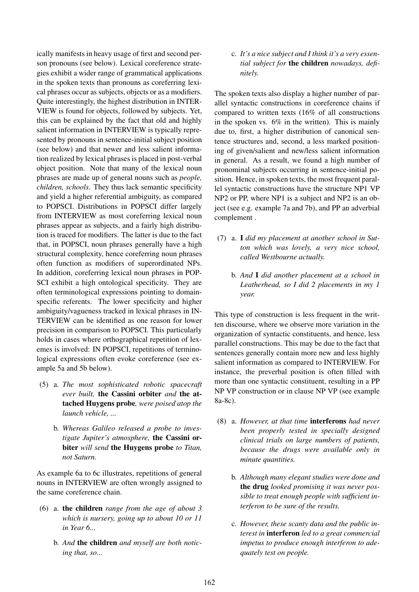ically manifests in heavy usage of first and second person pronouns (see below). Lexical coreference strategies exhibit a wider range of grammatical applications in the spoken texts than pronouns as coreferring lexical phrases occur as subjects, objects or as a modifiers. Quite interestingly, the highest distribution in INTER-VIEW is found for objects, followed by subjects. Yet, this can be explained by the fact that old and highly salient information in INTERVIEW is typically represented by pronouns in sentence-initial subject position (see below) and that newer and less salient information realized by lexical phrases is placed in post-verbal object position. Note that many of the lexical noun phrases are made up of general nouns such as *people, children, schools*. They thus lack semantic specificity and yield a higher referential ambiguity, as compared to POPSCI. Distributions in POPSCI differ largely from INTERVIEW as most coreferring lexical noun phrases appear as subjects, and a fairly high distribution is traced for modifiers. The latter is due to the fact that, in POPSCI, noun phrases generally have a high structural complexity, hence coreferring noun phrases often function as modifiers of superordinated NPs. In addition, coreferring lexical noun phrases in POP-SCI exhibit a high ontological specificity. They are often terminological expressions pointing to domainspecific referents. The lower specificity and higher ambiguity/vagueness tracked in lexical phrases in IN-TERVIEW can be identified as one reason for lower precision in comparison to POPSCI. This particularly holds in cases where orthographical repetition of lexemes is involved: IN POPSCI, repetitions of terminological expressions often evoke coreference (see example 5a and 5b below).

- (5) a. *The most sophisticated robotic spacecraft ever built,* the Cassini orbiter *and* the attached Huygens probe*, were poised atop the launch vehicle, ...*
	- b. *Whereas Galileo released a probe to investigate Jupiter's atmosphere,* the Cassini orbiter *will send* the Huygens probe *to Titan, not Saturn.*

As example 6a to 6c illustrates, repetitions of general nouns in INTERVIEW are often wrongly assigned to the same coreference chain.

- (6) a. the children *range from the age of about 3 which is nursery, going up to about 10 or 11 in Year 6...*
	- b. *And* the children *and myself are both noticing that, so...*

c. *It's a nice subject and I think it's a very essential subject for* the children *nowadays, definitely.*

The spoken texts also display a higher number of parallel syntactic constructions in coreference chains if compared to written texts (16% of all constructions in the spoken vs. 6% in the written). This is mainly due to, first, a higher distribution of canonical sentence structures and, second, a less marked positioning of given/salient and new/less salient information in general. As a result, we found a high number of pronominal subjects occurring in sentence-initial position. Hence, in spoken texts, the most frequent parallel syntactic constructions have the structure NP1 VP NP2 or PP, where NP1 is a subject and NP2 is an object (see e.g. example 7a and 7b), and PP an adverbial complement .

- (7) a. I *did my placement at another school in Sutton which was lovely, a very nice school, called Westbourne actually.*
	- b. *And* I *did another placement at a school in Leatherhead, so I did 2 placements in my 1 year.*

This type of construction is less frequent in the written discourse, where we observe more variation in the organization of syntactic constituents, and hence, less parallel constructions. This may be due to the fact that sentences generally contain more new and less highly salient information as compared to INTERVIEW. For instance, the preverbal position is often filled with more than one syntactic constituent, resulting in a PP NP VP construction or in clause NP VP (see example 8a-8c).

- (8) a. *However, at that time* interferons *had never been properly tested in specially designed clinical trials on large numbers of patients, because the drugs were available only in minute quantities.*
	- b. *Although many elegant studies were done and* the drug *looked promising it was never possible to treat enough people with sufficient interferon to be sure of the results.*
	- c. *However, these scanty data and the public interest in* interferon *led to a great commercial impetus to produce enough interferon to adequately test on people.*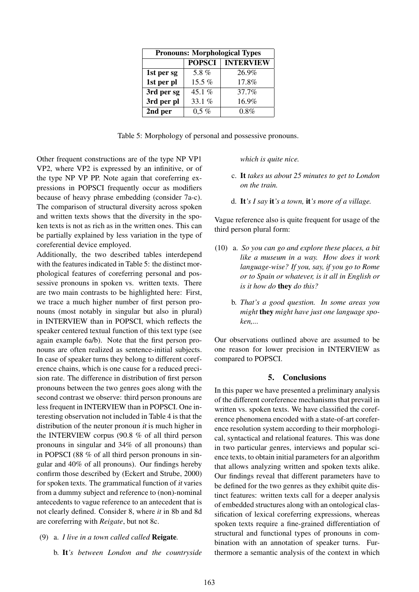| <b>Pronouns: Morphological Types</b> |               |                  |  |
|--------------------------------------|---------------|------------------|--|
|                                      | <b>POPSCI</b> | <b>INTERVIEW</b> |  |
| 1st per sg                           | 5.8%          | 26.9%            |  |
| 1st per pl                           | 15.5 %        | 17.8%            |  |
| 3rd per sg                           | 45.1%         | 37.7%            |  |
| 3rd per pl                           | 33.1 %        | 16.9%            |  |
| 2nd per                              | $0.5 \%$      | $0.8\%$          |  |

Table 5: Morphology of personal and possessive pronouns.

Other frequent constructions are of the type NP VP1 VP2, where VP2 is expressed by an infinitive, or of the type NP VP PP. Note again that coreferring expressions in POPSCI frequently occur as modifiers because of heavy phrase embedding (consider 7a-c). The comparison of structural diversity across spoken and written texts shows that the diversity in the spoken texts is not as rich as in the written ones. This can be partially explained by less variation in the type of coreferential device employed.

Additionally, the two described tables interdepend with the features indicated in Table 5: the distinct morphological features of coreferring personal and possessive pronouns in spoken vs. written texts. There are two main contrasts to be highlighted here: First, we trace a much higher number of first person pronouns (most notably in singular but also in plural) in INTERVIEW than in POPSCI, which reflects the speaker centered textual function of this text type (see again example 6a/b). Note that the first person pronouns are often realized as sentence-initial subjects. In case of speaker turns they belong to different coreference chains, which is one cause for a reduced precision rate. The difference in distribution of first person pronouns between the two genres goes along with the second contrast we observe: third person pronouns are less frequent in INTERVIEW than in POPSCI. One interesting observation not included in Table 4 is that the distribution of the neuter pronoun *it* is much higher in the INTERVIEW corpus (90.8 % of all third person pronouns in singular and 34% of all pronouns) than in POPSCI (88 % of all third person pronouns in singular and 40% of all pronouns). Our findings hereby confirm those described by (Eckert and Strube, 2000) for spoken texts. The grammatical function of it varies from a dummy subject and reference to (non)-nominal antecedents to vague reference to an antecedent that is not clearly defined. Consider 8, where *it* in 8b and 8d are coreferring with *Reigate*, but not 8c.

- (9) a. *I live in a town called called* Reigate*.*
	- b. It*'s between London and the countryside*

#### *which is quite nice.*

- c. It *takes us about 25 minutes to get to London on the train.*
- d. It*'s I say* it*'s a town,* it*'s more of a village.*

Vague reference also is quite frequent for usage of the third person plural form:

- (10) a. *So you can go and explore these places, a bit like a museum in a way. How does it work language-wise? If you, say, if you go to Rome or to Spain or whatever, is it all in English or is it how do* they *do this?*
	- b. *That's a good question. In some areas you might* they *might have just one language spoken,...*

Our observations outlined above are assumed to be one reason for lower precision in INTERVIEW as compared to POPSCI.

#### 5. Conclusions

In this paper we have presented a preliminary analysis of the different coreference mechanisms that prevail in written vs. spoken texts. We have classified the coreference phenomena encoded with a state-of-art coreference resolution system according to their morphological, syntactical and relational features. This was done in two particular genres, interviews and popular science texts, to obtain initial parameters for an algorithm that allows analyzing written and spoken texts alike. Our findings reveal that different parameters have to be defined for the two genres as they exhibit quite distinct features: written texts call for a deeper analysis of embedded structures along with an ontological classification of lexical coreferring expressions, whereas spoken texts require a fine-grained differentiation of structural and functional types of pronouns in combination with an annotation of speaker turns. Furthermore a semantic analysis of the context in which